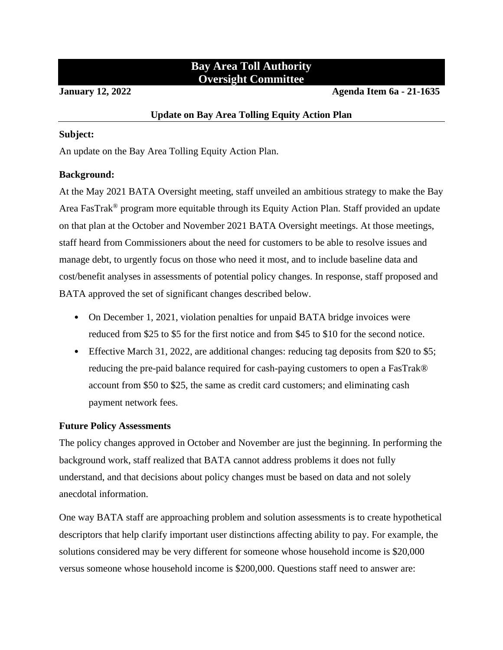# **Bay Area Toll Authority Oversight Committee**

**January 12, 2022 Agenda Item 6a - 21-1635**

# **Update on Bay Area Tolling Equity Action Plan**

# **Subject:**

An update on the Bay Area Tolling Equity Action Plan.

# **Background:**

At the May 2021 BATA Oversight meeting, staff unveiled an ambitious strategy to make the Bay Area FasTrak® program more equitable through its Equity Action Plan. Staff provided an update on that plan at the October and November 2021 BATA Oversight meetings. At those meetings, staff heard from Commissioners about the need for customers to be able to resolve issues and manage debt, to urgently focus on those who need it most, and to include baseline data and cost/benefit analyses in assessments of potential policy changes. In response, staff proposed and BATA approved the set of significant changes described below.

- On December 1, 2021, violation penalties for unpaid BATA bridge invoices were reduced from \$25 to \$5 for the first notice and from \$45 to \$10 for the second notice.
- Effective March 31, 2022, are additional changes: reducing tag deposits from \$20 to \$5; reducing the pre-paid balance required for cash-paying customers to open a FasTrak® account from \$50 to \$25, the same as credit card customers; and eliminating cash payment network fees.

# **Future Policy Assessments**

The policy changes approved in October and November are just the beginning. In performing the background work, staff realized that BATA cannot address problems it does not fully understand, and that decisions about policy changes must be based on data and not solely anecdotal information.

One way BATA staff are approaching problem and solution assessments is to create hypothetical descriptors that help clarify important user distinctions affecting ability to pay. For example, the solutions considered may be very different for someone whose household income is \$20,000 versus someone whose household income is \$200,000. Questions staff need to answer are: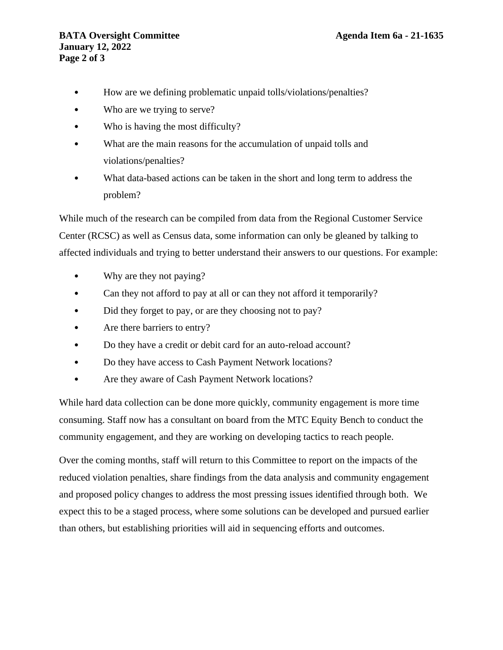- How are we defining problematic unpaid tolls/violations/penalties?
- Who are we trying to serve?
- Who is having the most difficulty?
- What are the main reasons for the accumulation of unpaid tolls and violations/penalties?
- What data-based actions can be taken in the short and long term to address the problem?

While much of the research can be compiled from data from the Regional Customer Service Center (RCSC) as well as Census data, some information can only be gleaned by talking to affected individuals and trying to better understand their answers to our questions. For example:

- Why are they not paying?
- Can they not afford to pay at all or can they not afford it temporarily?
- Did they forget to pay, or are they choosing not to pay?
- Are there barriers to entry?
- Do they have a credit or debit card for an auto-reload account?
- Do they have access to Cash Payment Network locations?
- Are they aware of Cash Payment Network locations?

While hard data collection can be done more quickly, community engagement is more time consuming. Staff now has a consultant on board from the MTC Equity Bench to conduct the community engagement, and they are working on developing tactics to reach people.

Over the coming months, staff will return to this Committee to report on the impacts of the reduced violation penalties, share findings from the data analysis and community engagement and proposed policy changes to address the most pressing issues identified through both. We expect this to be a staged process, where some solutions can be developed and pursued earlier than others, but establishing priorities will aid in sequencing efforts and outcomes.